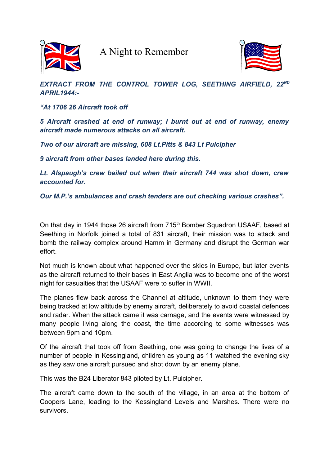

A Night to Remember



## *EXTRACT FROM THE CONTROL TOWER LOG, SEETHING AIRFIELD, 22ND APRIL1944:-*

*"At 1706 26 Aircraft took off*

*5 Aircraft crashed at end of runway; I burnt out at end of runway, enemy aircraft made numerous attacks on all aircraft.*

*Two of our aircraft are missing, 608 Lt.Pitts & 843 Lt Pulcipher*

*9 aircraft from other bases landed here during this.*

*Lt. Alspaugh's crew bailed out when their aircraft 744 was shot down, crew accounted for.*

*Our M.P.'s ambulances and crash tenders are out checking various crashes".*

On that day in 1944 those 26 aircraft from 715<sup>th</sup> Bomber Squadron USAAF, based at Seething in Norfolk joined a total of 831 aircraft, their mission was to attack and bomb the railway complex around Hamm in Germany and disrupt the German war effort.

Not much is known about what happened over the skies in Europe, but later events as the aircraft returned to their bases in East Anglia was to become one of the worst night for casualties that the USAAF were to suffer in WWII.

The planes flew back across the Channel at altitude, unknown to them they were being tracked at low altitude by enemy aircraft, deliberately to avoid coastal defences and radar. When the attack came it was carnage, and the events were witnessed by many people living along the coast, the time according to some witnesses was between 9pm and 10pm.

Of the aircraft that took off from Seething, one was going to change the lives of a number of people in Kessingland, children as young as 11 watched the evening sky as they saw one aircraft pursued and shot down by an enemy plane.

This was the B24 Liberator 843 piloted by Lt. Pulcipher.

The aircraft came down to the south of the village, in an area at the bottom of Coopers Lane, leading to the Kessingland Levels and Marshes. There were no survivors.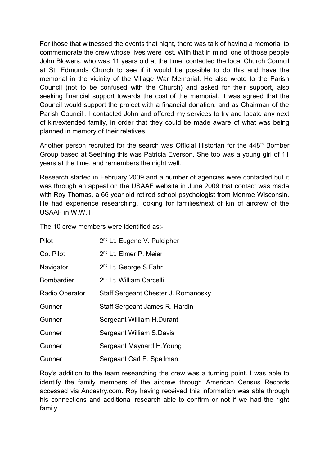For those that witnessed the events that night, there was talk of having a memorial to commemorate the crew whose lives were lost. With that in mind, one of those people John Blowers, who was 11 years old at the time, contacted the local Church Council at St. Edmunds Church to see if it would be possible to do this and have the memorial in the vicinity of the Village War Memorial. He also wrote to the Parish Council (not to be confused with the Church) and asked for their support, also seeking financial support towards the cost of the memorial. It was agreed that the Council would support the project with a financial donation, and as Chairman of the Parish Council , I contacted John and offered my services to try and locate any next of kin/extended family, in order that they could be made aware of what was being planned in memory of their relatives.

Another person recruited for the search was Official Historian for the  $448<sup>th</sup>$  Bomber Group based at Seething this was Patricia Everson. She too was a young girl of 11 years at the time, and remembers the night well.

Research started in February 2009 and a number of agencies were contacted but it was through an appeal on the USAAF website in June 2009 that contact was made with Roy Thomas, a 66 year old retired school psychologist from Monroe Wisconsin. He had experience researching, looking for families/next of kin of aircrew of the USAAF in W.W.II

The 10 crew members were identified as:-

| Pilot             | 2 <sup>nd</sup> Lt. Eugene V. Pulcipher |
|-------------------|-----------------------------------------|
| Co. Pilot         | 2 <sup>nd</sup> Lt. Elmer P. Meier      |
| Navigator         | 2 <sup>nd</sup> Lt. George S.Fahr       |
| <b>Bombardier</b> | 2 <sup>nd</sup> Lt. William Carcelli    |
| Radio Operator    | Staff Sergeant Chester J. Romanosky     |
| Gunner            | Staff Sergeant James R. Hardin          |
| Gunner            | Sergeant William H.Durant               |
| Gunner            | Sergeant William S.Davis                |
| Gunner            | Sergeant Maynard H. Young               |
| Gunner            | Sergeant Carl E. Spellman.              |

Roy's addition to the team researching the crew was a turning point. I was able to identify the family members of the aircrew through American Census Records accessed via Ancestry.com. Roy having received this information was able through his connections and additional research able to confirm or not if we had the right family.